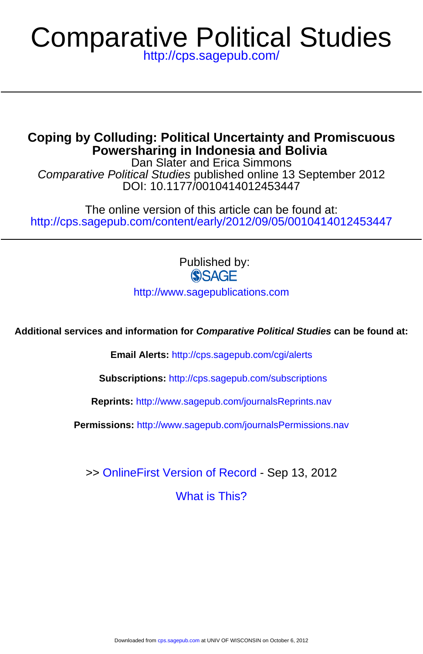# <http://cps.sagepub.com/> Comparative Political Studies

# **Powersharing in Indonesia and Bolivia Coping by Colluding: Political Uncertainty and Promiscuous**

DOI: 10.1177/0010414012453447 Comparative Political Studies published online 13 September 2012 Dan Slater and Erica Simmons

<http://cps.sagepub.com/content/early/2012/09/05/0010414012453447> The online version of this article can be found at:

Published by:<br>
SAGE

<http://www.sagepublications.com>

**Additional services and information for Comparative Political Studies can be found at:**

**Email Alerts:** <http://cps.sagepub.com/cgi/alerts>

**Subscriptions:** <http://cps.sagepub.com/subscriptions>

**Reprints:** <http://www.sagepub.com/journalsReprints.nav>

**Permissions:** <http://www.sagepub.com/journalsPermissions.nav>

>> [OnlineFirst Version of Record -](http://cps.sagepub.com/content/early/2012/09/05/0010414012453447.full.pdf) Sep 13, 2012

[What is This?](http://online.sagepub.com/site/sphelp/vorhelp.xhtml)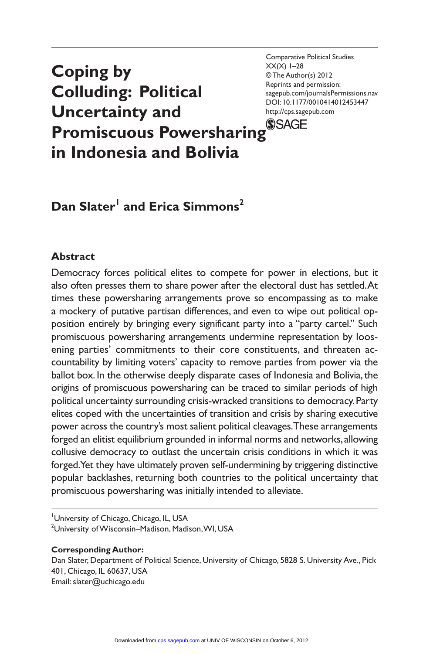**Coping by Colluding: Political Uncertainty and Promiscuous Powersharing** SAGE **in Indonesia and Bolivia**

Comparative Political Studies  $XX(X)$  1–28 © The Author(s) 2012 Reprints and permission: sagepub.com/journalsPermissions.nav DOI: 10.1177/0010414012453447 http://cps.sagepub.com



# $\mathsf{Dan\; Slater}^{\mathsf{I}}$  and Erica Simmons<sup>2</sup>

#### **Abstract**

Democracy forces political elites to compete for power in elections, but it also often presses them to share power after the electoral dust has settled. At times these powersharing arrangements prove so encompassing as to make a mockery of putative partisan differences, and even to wipe out political opposition entirely by bringing every significant party into a "party cartel." Such promiscuous powersharing arrangements undermine representation by loosening parties' commitments to their core constituents, and threaten accountability by limiting voters' capacity to remove parties from power via the ballot box. In the otherwise deeply disparate cases of Indonesia and Bolivia, the origins of promiscuous powersharing can be traced to similar periods of high political uncertainty surrounding crisis-wracked transitions to democracy. Party elites coped with the uncertainties of transition and crisis by sharing executive power across the country's most salient political cleavages. These arrangements forged an elitist equilibrium grounded in informal norms and networks, allowing collusive democracy to outlast the uncertain crisis conditions in which it was forged. Yet they have ultimately proven self-undermining by triggering distinctive popular backlashes, returning both countries to the political uncertainty that promiscuous powersharing was initially intended to alleviate.

University of Chicago, Chicago, IL, USA

<sup>2</sup>University of Wisconsin–Madison, Madison, WI, USA

#### **Corresponding Author:**

Dan Slater, Department of Political Science, University of Chicago, 5828 S. University Ave., Pick 401, Chicago, IL 60637, USA Email: slater@uchicago.edu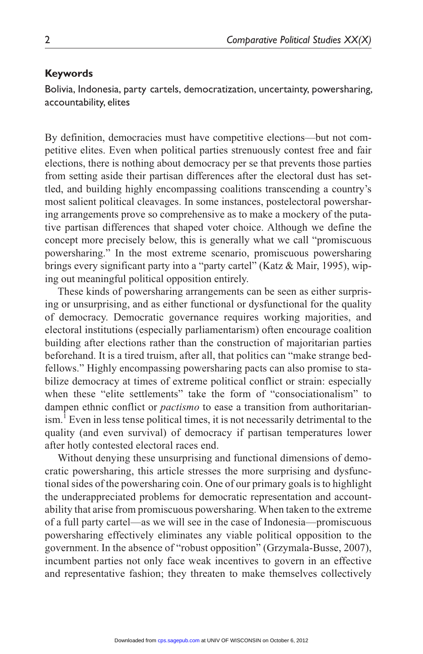#### **Keywords**

Bolivia, Indonesia, party cartels, democratization, uncertainty, powersharing, accountability, elites

By definition, democracies must have competitive elections—but not competitive elites. Even when political parties strenuously contest free and fair elections, there is nothing about democracy per se that prevents those parties from setting aside their partisan differences after the electoral dust has settled, and building highly encompassing coalitions transcending a country's most salient political cleavages. In some instances, postelectoral powersharing arrangements prove so comprehensive as to make a mockery of the putative partisan differences that shaped voter choice. Although we define the concept more precisely below, this is generally what we call "promiscuous powersharing." In the most extreme scenario, promiscuous powersharing brings every significant party into a "party cartel" (Katz & Mair, 1995), wiping out meaningful political opposition entirely.

These kinds of powersharing arrangements can be seen as either surprising or unsurprising, and as either functional or dysfunctional for the quality of democracy. Democratic governance requires working majorities, and electoral institutions (especially parliamentarism) often encourage coalition building after elections rather than the construction of majoritarian parties beforehand. It is a tired truism, after all, that politics can "make strange bedfellows." Highly encompassing powersharing pacts can also promise to stabilize democracy at times of extreme political conflict or strain: especially when these "elite settlements" take the form of "consociationalism" to dampen ethnic conflict or *pactismo* to ease a transition from authoritarianism.<sup>1</sup> Even in less tense political times, it is not necessarily detrimental to the quality (and even survival) of democracy if partisan temperatures lower after hotly contested electoral races end.

Without denying these unsurprising and functional dimensions of democratic powersharing, this article stresses the more surprising and dysfunctional sides of the powersharing coin. One of our primary goals is to highlight the underappreciated problems for democratic representation and accountability that arise from promiscuous powersharing. When taken to the extreme of a full party cartel—as we will see in the case of Indonesia—promiscuous powersharing effectively eliminates any viable political opposition to the government. In the absence of "robust opposition" (Grzymala-Busse, 2007), incumbent parties not only face weak incentives to govern in an effective and representative fashion; they threaten to make themselves collectively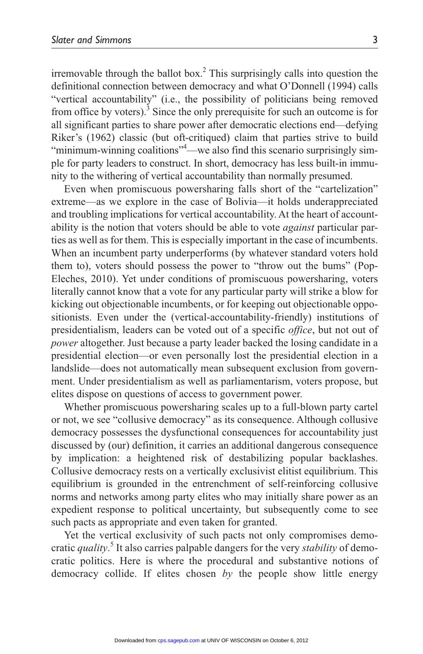irremovable through the ballot box.<sup>2</sup> This surprisingly calls into question the definitional connection between democracy and what O'Donnell (1994) calls "vertical accountability" (i.e., the possibility of politicians being removed from office by voters). $3$  Since the only prerequisite for such an outcome is for all significant parties to share power after democratic elections end—defying Riker's (1962) classic (but oft-critiqued) claim that parties strive to build "minimum-winning coalitions"<sup>4</sup>—we also find this scenario surprisingly simple for party leaders to construct. In short, democracy has less built-in immunity to the withering of vertical accountability than normally presumed.

Even when promiscuous powersharing falls short of the "cartelization" extreme—as we explore in the case of Bolivia—it holds underappreciated and troubling implications for vertical accountability. At the heart of accountability is the notion that voters should be able to vote *against* particular parties as well as for them. This is especially important in the case of incumbents. When an incumbent party underperforms (by whatever standard voters hold them to), voters should possess the power to "throw out the bums" (Pop-Eleches, 2010). Yet under conditions of promiscuous powersharing, voters literally cannot know that a vote for any particular party will strike a blow for kicking out objectionable incumbents, or for keeping out objectionable oppositionists. Even under the (vertical-accountability-friendly) institutions of presidentialism, leaders can be voted out of a specific *office*, but not out of *power* altogether. Just because a party leader backed the losing candidate in a presidential election—or even personally lost the presidential election in a landslide—does not automatically mean subsequent exclusion from government. Under presidentialism as well as parliamentarism, voters propose, but elites dispose on questions of access to government power.

Whether promiscuous powersharing scales up to a full-blown party cartel or not, we see "collusive democracy" as its consequence. Although collusive democracy possesses the dysfunctional consequences for accountability just discussed by (our) definition, it carries an additional dangerous consequence by implication: a heightened risk of destabilizing popular backlashes. Collusive democracy rests on a vertically exclusivist elitist equilibrium. This equilibrium is grounded in the entrenchment of self-reinforcing collusive norms and networks among party elites who may initially share power as an expedient response to political uncertainty, but subsequently come to see such pacts as appropriate and even taken for granted.

Yet the vertical exclusivity of such pacts not only compromises democratic *quality*. 5 It also carries palpable dangers for the very *stability* of democratic politics. Here is where the procedural and substantive notions of democracy collide. If elites chosen *by* the people show little energy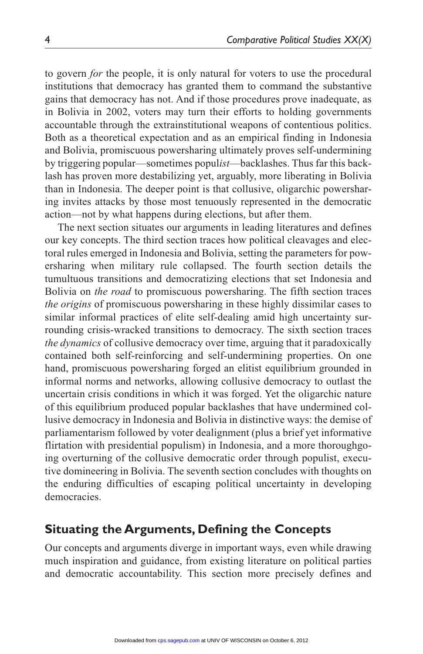to govern *for* the people, it is only natural for voters to use the procedural institutions that democracy has granted them to command the substantive gains that democracy has not. And if those procedures prove inadequate, as in Bolivia in 2002, voters may turn their efforts to holding governments accountable through the extrainstitutional weapons of contentious politics. Both as a theoretical expectation and as an empirical finding in Indonesia and Bolivia, promiscuous powersharing ultimately proves self-undermining by triggering popular—sometimes popul*ist*—backlashes. Thus far this backlash has proven more destabilizing yet, arguably, more liberating in Bolivia than in Indonesia. The deeper point is that collusive, oligarchic powersharing invites attacks by those most tenuously represented in the democratic action—not by what happens during elections, but after them.

The next section situates our arguments in leading literatures and defines our key concepts. The third section traces how political cleavages and electoral rules emerged in Indonesia and Bolivia, setting the parameters for powersharing when military rule collapsed. The fourth section details the tumultuous transitions and democratizing elections that set Indonesia and Bolivia on *the road* to promiscuous powersharing. The fifth section traces *the origins* of promiscuous powersharing in these highly dissimilar cases to similar informal practices of elite self-dealing amid high uncertainty surrounding crisis-wracked transitions to democracy. The sixth section traces *the dynamics* of collusive democracy over time, arguing that it paradoxically contained both self-reinforcing and self-undermining properties. On one hand, promiscuous powersharing forged an elitist equilibrium grounded in informal norms and networks, allowing collusive democracy to outlast the uncertain crisis conditions in which it was forged. Yet the oligarchic nature of this equilibrium produced popular backlashes that have undermined collusive democracy in Indonesia and Bolivia in distinctive ways: the demise of parliamentarism followed by voter dealignment (plus a brief yet informative flirtation with presidential populism) in Indonesia, and a more thoroughgoing overturning of the collusive democratic order through populist, executive domineering in Bolivia. The seventh section concludes with thoughts on the enduring difficulties of escaping political uncertainty in developing democracies.

### **Situating the Arguments, Defining the Concepts**

Our concepts and arguments diverge in important ways, even while drawing much inspiration and guidance, from existing literature on political parties and democratic accountability. This section more precisely defines and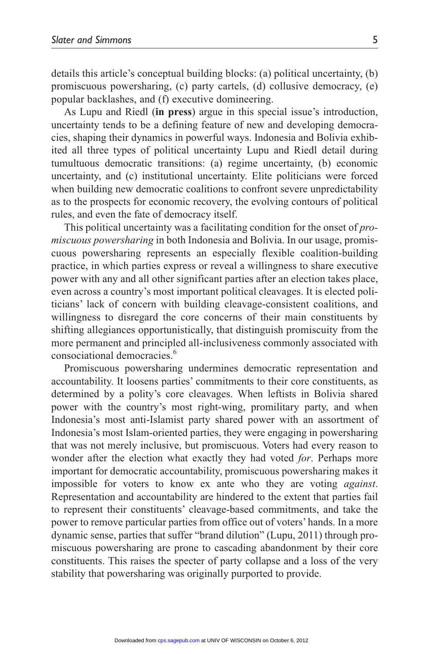details this article's conceptual building blocks: (a) political uncertainty, (b) promiscuous powersharing, (c) party cartels, (d) collusive democracy, (e) popular backlashes, and (f) executive domineering.

As Lupu and Riedl (**in press**) argue in this special issue's introduction, uncertainty tends to be a defining feature of new and developing democracies, shaping their dynamics in powerful ways. Indonesia and Bolivia exhibited all three types of political uncertainty Lupu and Riedl detail during tumultuous democratic transitions: (a) regime uncertainty, (b) economic uncertainty, and (c) institutional uncertainty. Elite politicians were forced when building new democratic coalitions to confront severe unpredictability as to the prospects for economic recovery, the evolving contours of political rules, and even the fate of democracy itself.

This political uncertainty was a facilitating condition for the onset of *promiscuous powersharing* in both Indonesia and Bolivia. In our usage, promiscuous powersharing represents an especially flexible coalition-building practice, in which parties express or reveal a willingness to share executive power with any and all other significant parties after an election takes place, even across a country's most important political cleavages. It is elected politicians' lack of concern with building cleavage-consistent coalitions, and willingness to disregard the core concerns of their main constituents by shifting allegiances opportunistically, that distinguish promiscuity from the more permanent and principled all-inclusiveness commonly associated with consociational democracies.<sup>6</sup>

Promiscuous powersharing undermines democratic representation and accountability. It loosens parties' commitments to their core constituents, as determined by a polity's core cleavages. When leftists in Bolivia shared power with the country's most right-wing, promilitary party, and when Indonesia's most anti-Islamist party shared power with an assortment of Indonesia's most Islam-oriented parties, they were engaging in powersharing that was not merely inclusive, but promiscuous. Voters had every reason to wonder after the election what exactly they had voted *for*. Perhaps more important for democratic accountability, promiscuous powersharing makes it impossible for voters to know ex ante who they are voting *against*. Representation and accountability are hindered to the extent that parties fail to represent their constituents' cleavage-based commitments, and take the power to remove particular parties from office out of voters' hands. In a more dynamic sense, parties that suffer "brand dilution" (Lupu, 2011) through promiscuous powersharing are prone to cascading abandonment by their core constituents. This raises the specter of party collapse and a loss of the very stability that powersharing was originally purported to provide.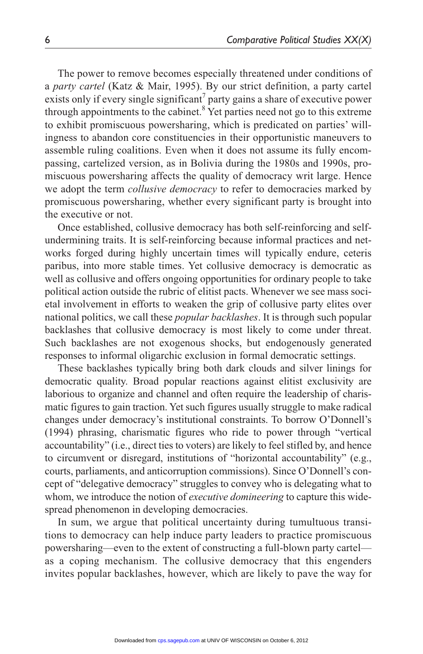The power to remove becomes especially threatened under conditions of a *party cartel* (Katz & Mair, 1995). By our strict definition, a party cartel exists only if every single significant<sup>7</sup> party gains a share of executive power through appointments to the cabinet. $8$  Yet parties need not go to this extreme to exhibit promiscuous powersharing, which is predicated on parties' willingness to abandon core constituencies in their opportunistic maneuvers to assemble ruling coalitions. Even when it does not assume its fully encompassing, cartelized version, as in Bolivia during the 1980s and 1990s, promiscuous powersharing affects the quality of democracy writ large. Hence we adopt the term *collusive democracy* to refer to democracies marked by promiscuous powersharing, whether every significant party is brought into the executive or not.

Once established, collusive democracy has both self-reinforcing and selfundermining traits. It is self-reinforcing because informal practices and networks forged during highly uncertain times will typically endure, ceteris paribus, into more stable times. Yet collusive democracy is democratic as well as collusive and offers ongoing opportunities for ordinary people to take political action outside the rubric of elitist pacts. Whenever we see mass societal involvement in efforts to weaken the grip of collusive party elites over national politics, we call these *popular backlashes*. It is through such popular backlashes that collusive democracy is most likely to come under threat. Such backlashes are not exogenous shocks, but endogenously generated responses to informal oligarchic exclusion in formal democratic settings.

These backlashes typically bring both dark clouds and silver linings for democratic quality. Broad popular reactions against elitist exclusivity are laborious to organize and channel and often require the leadership of charismatic figures to gain traction. Yet such figures usually struggle to make radical changes under democracy's institutional constraints. To borrow O'Donnell's (1994) phrasing, charismatic figures who ride to power through "vertical accountability" (i.e., direct ties to voters) are likely to feel stifled by, and hence to circumvent or disregard, institutions of "horizontal accountability" (e.g., courts, parliaments, and anticorruption commissions). Since O'Donnell's concept of "delegative democracy" struggles to convey who is delegating what to whom, we introduce the notion of *executive domineering* to capture this widespread phenomenon in developing democracies.

In sum, we argue that political uncertainty during tumultuous transitions to democracy can help induce party leaders to practice promiscuous powersharing—even to the extent of constructing a full-blown party cartel as a coping mechanism. The collusive democracy that this engenders invites popular backlashes, however, which are likely to pave the way for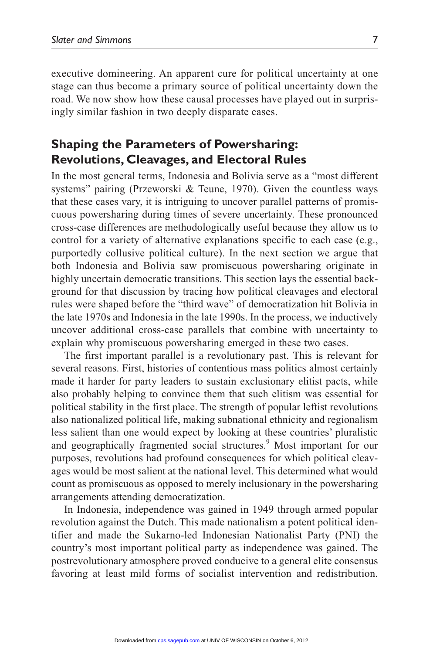executive domineering. An apparent cure for political uncertainty at one stage can thus become a primary source of political uncertainty down the road. We now show how these causal processes have played out in surprisingly similar fashion in two deeply disparate cases.

### **Shaping the Parameters of Powersharing: Revolutions, Cleavages, and Electoral Rules**

In the most general terms, Indonesia and Bolivia serve as a "most different systems" pairing (Przeworski & Teune, 1970). Given the countless ways that these cases vary, it is intriguing to uncover parallel patterns of promiscuous powersharing during times of severe uncertainty. These pronounced cross-case differences are methodologically useful because they allow us to control for a variety of alternative explanations specific to each case (e.g., purportedly collusive political culture). In the next section we argue that both Indonesia and Bolivia saw promiscuous powersharing originate in highly uncertain democratic transitions. This section lays the essential background for that discussion by tracing how political cleavages and electoral rules were shaped before the "third wave" of democratization hit Bolivia in the late 1970s and Indonesia in the late 1990s. In the process, we inductively uncover additional cross-case parallels that combine with uncertainty to explain why promiscuous powersharing emerged in these two cases.

The first important parallel is a revolutionary past. This is relevant for several reasons. First, histories of contentious mass politics almost certainly made it harder for party leaders to sustain exclusionary elitist pacts, while also probably helping to convince them that such elitism was essential for political stability in the first place. The strength of popular leftist revolutions also nationalized political life, making subnational ethnicity and regionalism less salient than one would expect by looking at these countries' pluralistic and geographically fragmented social structures.<sup>9</sup> Most important for our purposes, revolutions had profound consequences for which political cleavages would be most salient at the national level. This determined what would count as promiscuous as opposed to merely inclusionary in the powersharing arrangements attending democratization.

In Indonesia, independence was gained in 1949 through armed popular revolution against the Dutch. This made nationalism a potent political identifier and made the Sukarno-led Indonesian Nationalist Party (PNI) the country's most important political party as independence was gained. The postrevolutionary atmosphere proved conducive to a general elite consensus favoring at least mild forms of socialist intervention and redistribution.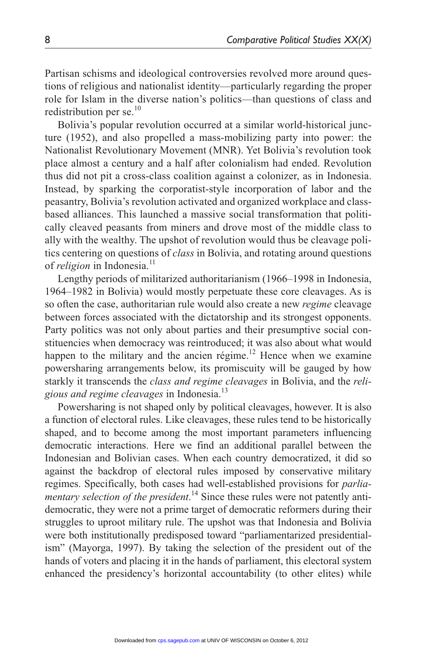Partisan schisms and ideological controversies revolved more around questions of religious and nationalist identity—particularly regarding the proper role for Islam in the diverse nation's politics—than questions of class and redistribution per se. $^{10}$ 

Bolivia's popular revolution occurred at a similar world-historical juncture (1952), and also propelled a mass-mobilizing party into power: the Nationalist Revolutionary Movement (MNR). Yet Bolivia's revolution took place almost a century and a half after colonialism had ended. Revolution thus did not pit a cross-class coalition against a colonizer, as in Indonesia. Instead, by sparking the corporatist-style incorporation of labor and the peasantry, Bolivia's revolution activated and organized workplace and classbased alliances. This launched a massive social transformation that politically cleaved peasants from miners and drove most of the middle class to ally with the wealthy. The upshot of revolution would thus be cleavage politics centering on questions of *class* in Bolivia, and rotating around questions of *religion* in Indonesia.<sup>11</sup>

Lengthy periods of militarized authoritarianism (1966–1998 in Indonesia, 1964–1982 in Bolivia) would mostly perpetuate these core cleavages. As is so often the case, authoritarian rule would also create a new *regime* cleavage between forces associated with the dictatorship and its strongest opponents. Party politics was not only about parties and their presumptive social constituencies when democracy was reintroduced; it was also about what would happen to the military and the ancien régime.<sup>12</sup> Hence when we examine powersharing arrangements below, its promiscuity will be gauged by how starkly it transcends the *class and regime cleavages* in Bolivia, and the *religious and regime cleavages* in Indonesia.13

Powersharing is not shaped only by political cleavages, however. It is also a function of electoral rules. Like cleavages, these rules tend to be historically shaped, and to become among the most important parameters influencing democratic interactions. Here we find an additional parallel between the Indonesian and Bolivian cases. When each country democratized, it did so against the backdrop of electoral rules imposed by conservative military regimes. Specifically, both cases had well-established provisions for *parliamentary selection of the president*. 14 Since these rules were not patently antidemocratic, they were not a prime target of democratic reformers during their struggles to uproot military rule. The upshot was that Indonesia and Bolivia were both institutionally predisposed toward "parliamentarized presidentialism" (Mayorga, 1997). By taking the selection of the president out of the hands of voters and placing it in the hands of parliament, this electoral system enhanced the presidency's horizontal accountability (to other elites) while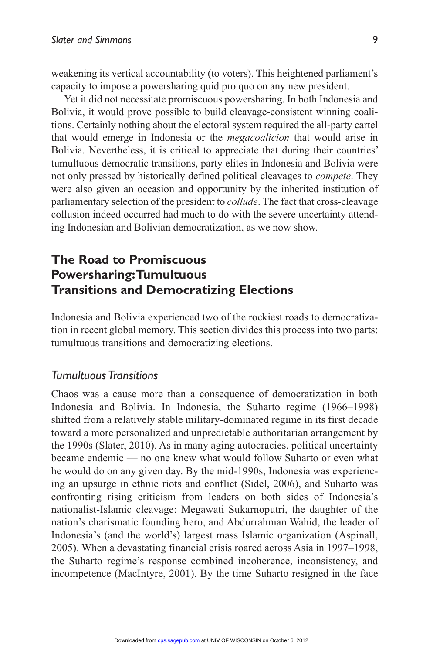weakening its vertical accountability (to voters). This heightened parliament's capacity to impose a powersharing quid pro quo on any new president.

Yet it did not necessitate promiscuous powersharing. In both Indonesia and Bolivia, it would prove possible to build cleavage-consistent winning coalitions. Certainly nothing about the electoral system required the all-party cartel that would emerge in Indonesia or the *megacoalicion* that would arise in Bolivia. Nevertheless, it is critical to appreciate that during their countries' tumultuous democratic transitions, party elites in Indonesia and Bolivia were not only pressed by historically defined political cleavages to *compete*. They were also given an occasion and opportunity by the inherited institution of parliamentary selection of the president to *collude*. The fact that cross-cleavage collusion indeed occurred had much to do with the severe uncertainty attending Indonesian and Bolivian democratization, as we now show.

# **The Road to Promiscuous Powersharing: Tumultuous Transitions and Democratizing Elections**

Indonesia and Bolivia experienced two of the rockiest roads to democratization in recent global memory. This section divides this process into two parts: tumultuous transitions and democratizing elections.

### *Tumultuous Transitions*

Chaos was a cause more than a consequence of democratization in both Indonesia and Bolivia. In Indonesia, the Suharto regime (1966–1998) shifted from a relatively stable military-dominated regime in its first decade toward a more personalized and unpredictable authoritarian arrangement by the 1990s (Slater, 2010). As in many aging autocracies, political uncertainty became endemic — no one knew what would follow Suharto or even what he would do on any given day. By the mid-1990s, Indonesia was experiencing an upsurge in ethnic riots and conflict (Sidel, 2006), and Suharto was confronting rising criticism from leaders on both sides of Indonesia's nationalist-Islamic cleavage: Megawati Sukarnoputri, the daughter of the nation's charismatic founding hero, and Abdurrahman Wahid, the leader of Indonesia's (and the world's) largest mass Islamic organization (Aspinall, 2005). When a devastating financial crisis roared across Asia in 1997–1998, the Suharto regime's response combined incoherence, inconsistency, and incompetence (MacIntyre, 2001). By the time Suharto resigned in the face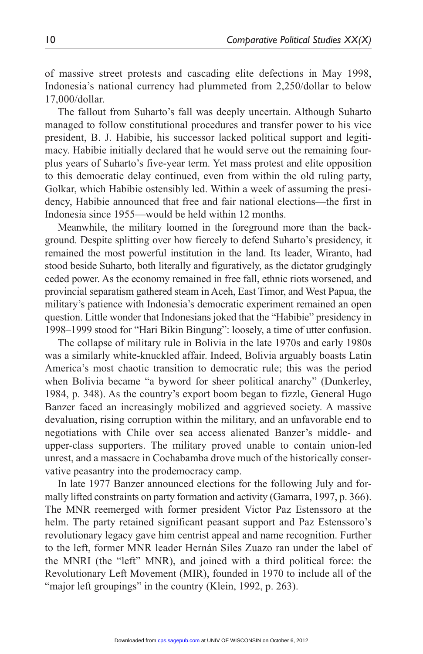of massive street protests and cascading elite defections in May 1998, Indonesia's national currency had plummeted from 2,250/dollar to below 17,000/dollar.

The fallout from Suharto's fall was deeply uncertain. Although Suharto managed to follow constitutional procedures and transfer power to his vice president, B. J. Habibie, his successor lacked political support and legitimacy. Habibie initially declared that he would serve out the remaining fourplus years of Suharto's five-year term. Yet mass protest and elite opposition to this democratic delay continued, even from within the old ruling party, Golkar, which Habibie ostensibly led. Within a week of assuming the presidency, Habibie announced that free and fair national elections—the first in Indonesia since 1955—would be held within 12 months.

Meanwhile, the military loomed in the foreground more than the background. Despite splitting over how fiercely to defend Suharto's presidency, it remained the most powerful institution in the land. Its leader, Wiranto, had stood beside Suharto, both literally and figuratively, as the dictator grudgingly ceded power. As the economy remained in free fall, ethnic riots worsened, and provincial separatism gathered steam in Aceh, East Timor, and West Papua, the military's patience with Indonesia's democratic experiment remained an open question. Little wonder that Indonesians joked that the "Habibie" presidency in 1998–1999 stood for "Hari Bikin Bingung": loosely, a time of utter confusion.

The collapse of military rule in Bolivia in the late 1970s and early 1980s was a similarly white-knuckled affair. Indeed, Bolivia arguably boasts Latin America's most chaotic transition to democratic rule; this was the period when Bolivia became "a byword for sheer political anarchy" (Dunkerley, 1984, p. 348). As the country's export boom began to fizzle, General Hugo Banzer faced an increasingly mobilized and aggrieved society. A massive devaluation, rising corruption within the military, and an unfavorable end to negotiations with Chile over sea access alienated Banzer's middle- and upper-class supporters. The military proved unable to contain union-led unrest, and a massacre in Cochabamba drove much of the historically conservative peasantry into the prodemocracy camp.

In late 1977 Banzer announced elections for the following July and formally lifted constraints on party formation and activity (Gamarra, 1997, p. 366). The MNR reemerged with former president Victor Paz Estenssoro at the helm. The party retained significant peasant support and Paz Estenssoro's revolutionary legacy gave him centrist appeal and name recognition. Further to the left, former MNR leader Hernán Siles Zuazo ran under the label of the MNRI (the "left" MNR), and joined with a third political force: the Revolutionary Left Movement (MIR), founded in 1970 to include all of the "major left groupings" in the country (Klein, 1992, p. 263).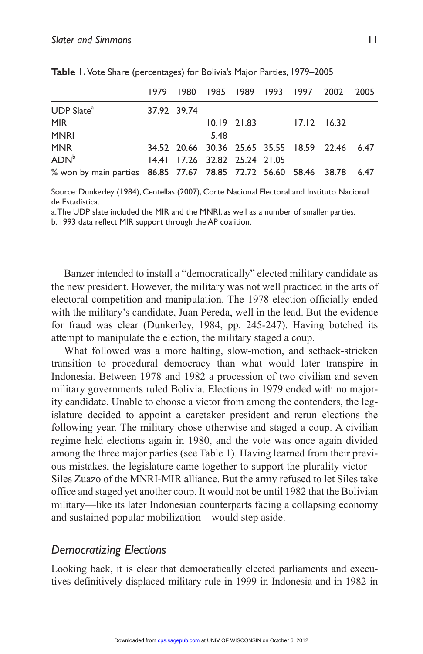|                                                                      |             |                               |      |  |                             | 1979 1980 1985 1989 1993 1997 2002 2005        |  |
|----------------------------------------------------------------------|-------------|-------------------------------|------|--|-----------------------------|------------------------------------------------|--|
|                                                                      |             |                               |      |  |                             |                                                |  |
| UDP Slate <sup>a</sup>                                               | 37.92 39.74 |                               |      |  |                             |                                                |  |
| <b>MIR</b>                                                           |             |                               |      |  | $10.19$ 21.83 $17.12$ 16.32 |                                                |  |
| <b>MNRI</b>                                                          |             |                               | 5.48 |  |                             |                                                |  |
| <b>MNR</b>                                                           |             |                               |      |  |                             | 34.52 20.66 30.36 25.65 35.55 18.59 22.46 6.47 |  |
| ADN <sup>b</sup>                                                     |             | 14.41 17.26 32.82 25.24 21.05 |      |  |                             |                                                |  |
| % won by main parties 86.85 77.67 78.85 72.72 56.60 58.46 38.78 6.47 |             |                               |      |  |                             |                                                |  |

**Table 1.** Vote Share (percentages) for Bolivia's Major Parties, 1979–2005

Source: Dunkerley (1984), Centellas (2007), Corte Nacional Electoral and Instituto Nacional de Estadística.

a. The UDP slate included the MIR and the MNRI, as well as a number of smaller parties.

b. 1993 data reflect MIR support through the AP coalition.

Banzer intended to install a "democratically" elected military candidate as the new president. However, the military was not well practiced in the arts of electoral competition and manipulation. The 1978 election officially ended with the military's candidate, Juan Pereda, well in the lead. But the evidence for fraud was clear (Dunkerley, 1984, pp. 245-247). Having botched its attempt to manipulate the election, the military staged a coup.

What followed was a more halting, slow-motion, and setback-stricken transition to procedural democracy than what would later transpire in Indonesia. Between 1978 and 1982 a procession of two civilian and seven military governments ruled Bolivia. Elections in 1979 ended with no majority candidate. Unable to choose a victor from among the contenders, the legislature decided to appoint a caretaker president and rerun elections the following year. The military chose otherwise and staged a coup. A civilian regime held elections again in 1980, and the vote was once again divided among the three major parties (see Table 1). Having learned from their previous mistakes, the legislature came together to support the plurality victor— Siles Zuazo of the MNRI-MIR alliance. But the army refused to let Siles take office and staged yet another coup. It would not be until 1982 that the Bolivian military—like its later Indonesian counterparts facing a collapsing economy and sustained popular mobilization—would step aside.

#### *Democratizing Elections*

Looking back, it is clear that democratically elected parliaments and executives definitively displaced military rule in 1999 in Indonesia and in 1982 in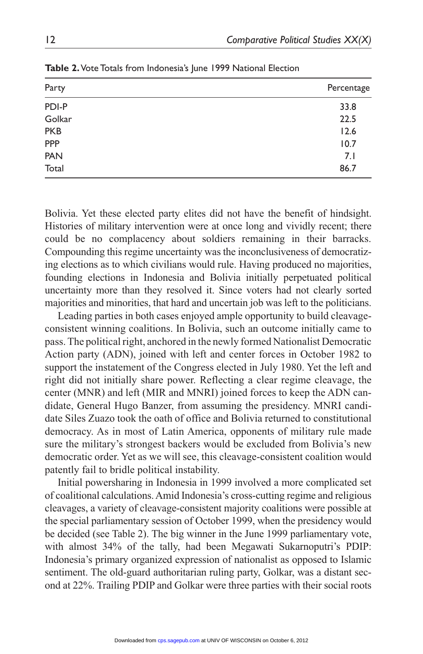| Party      | Percentage |  |  |
|------------|------------|--|--|
| PDI-P      | 33.8       |  |  |
| Golkar     | 22.5       |  |  |
| <b>PKB</b> | 12.6       |  |  |
| <b>PPP</b> | 10.7       |  |  |
| <b>PAN</b> | 7.1        |  |  |
| Total      | 86.7       |  |  |

**Table 2.** Vote Totals from Indonesia's June 1999 National Election

Bolivia. Yet these elected party elites did not have the benefit of hindsight. Histories of military intervention were at once long and vividly recent; there could be no complacency about soldiers remaining in their barracks. Compounding this regime uncertainty was the inconclusiveness of democratizing elections as to which civilians would rule. Having produced no majorities, founding elections in Indonesia and Bolivia initially perpetuated political uncertainty more than they resolved it. Since voters had not clearly sorted majorities and minorities, that hard and uncertain job was left to the politicians.

Leading parties in both cases enjoyed ample opportunity to build cleavageconsistent winning coalitions. In Bolivia, such an outcome initially came to pass. The political right, anchored in the newly formed Nationalist Democratic Action party (ADN), joined with left and center forces in October 1982 to support the instatement of the Congress elected in July 1980. Yet the left and right did not initially share power. Reflecting a clear regime cleavage, the center (MNR) and left (MIR and MNRI) joined forces to keep the ADN candidate, General Hugo Banzer, from assuming the presidency. MNRI candidate Siles Zuazo took the oath of office and Bolivia returned to constitutional democracy. As in most of Latin America, opponents of military rule made sure the military's strongest backers would be excluded from Bolivia's new democratic order. Yet as we will see, this cleavage-consistent coalition would patently fail to bridle political instability.

Initial powersharing in Indonesia in 1999 involved a more complicated set of coalitional calculations. Amid Indonesia's cross-cutting regime and religious cleavages, a variety of cleavage-consistent majority coalitions were possible at the special parliamentary session of October 1999, when the presidency would be decided (see Table 2). The big winner in the June 1999 parliamentary vote, with almost 34% of the tally, had been Megawati Sukarnoputri's PDIP: Indonesia's primary organized expression of nationalist as opposed to Islamic sentiment. The old-guard authoritarian ruling party, Golkar, was a distant second at 22%. Trailing PDIP and Golkar were three parties with their social roots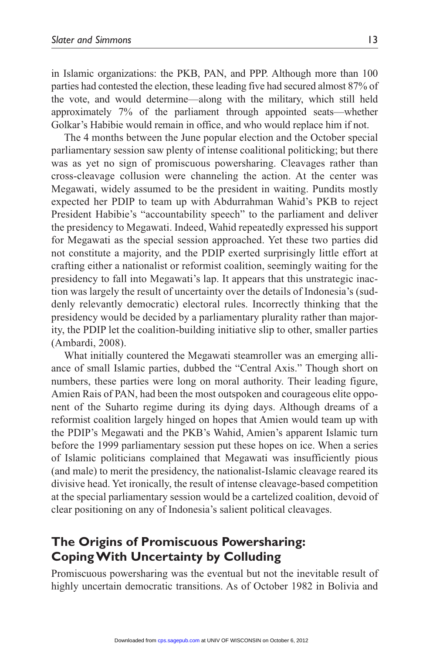in Islamic organizations: the PKB, PAN, and PPP. Although more than 100 parties had contested the election, these leading five had secured almost 87% of the vote, and would determine—along with the military, which still held approximately 7% of the parliament through appointed seats—whether Golkar's Habibie would remain in office, and who would replace him if not.

The 4 months between the June popular election and the October special parliamentary session saw plenty of intense coalitional politicking; but there was as yet no sign of promiscuous powersharing. Cleavages rather than cross-cleavage collusion were channeling the action. At the center was Megawati, widely assumed to be the president in waiting. Pundits mostly expected her PDIP to team up with Abdurrahman Wahid's PKB to reject President Habibie's "accountability speech" to the parliament and deliver the presidency to Megawati. Indeed, Wahid repeatedly expressed his support for Megawati as the special session approached. Yet these two parties did not constitute a majority, and the PDIP exerted surprisingly little effort at crafting either a nationalist or reformist coalition, seemingly waiting for the presidency to fall into Megawati's lap. It appears that this unstrategic inaction was largely the result of uncertainty over the details of Indonesia's (suddenly relevantly democratic) electoral rules. Incorrectly thinking that the presidency would be decided by a parliamentary plurality rather than majority, the PDIP let the coalition-building initiative slip to other, smaller parties (Ambardi, 2008).

What initially countered the Megawati steamroller was an emerging alliance of small Islamic parties, dubbed the "Central Axis." Though short on numbers, these parties were long on moral authority. Their leading figure, Amien Rais of PAN, had been the most outspoken and courageous elite opponent of the Suharto regime during its dying days. Although dreams of a reformist coalition largely hinged on hopes that Amien would team up with the PDIP's Megawati and the PKB's Wahid, Amien's apparent Islamic turn before the 1999 parliamentary session put these hopes on ice. When a series of Islamic politicians complained that Megawati was insufficiently pious (and male) to merit the presidency, the nationalist-Islamic cleavage reared its divisive head. Yet ironically, the result of intense cleavage-based competition at the special parliamentary session would be a cartelized coalition, devoid of clear positioning on any of Indonesia's salient political cleavages.

# **The Origins of Promiscuous Powersharing: Coping With Uncertainty by Colluding**

Promiscuous powersharing was the eventual but not the inevitable result of highly uncertain democratic transitions. As of October 1982 in Bolivia and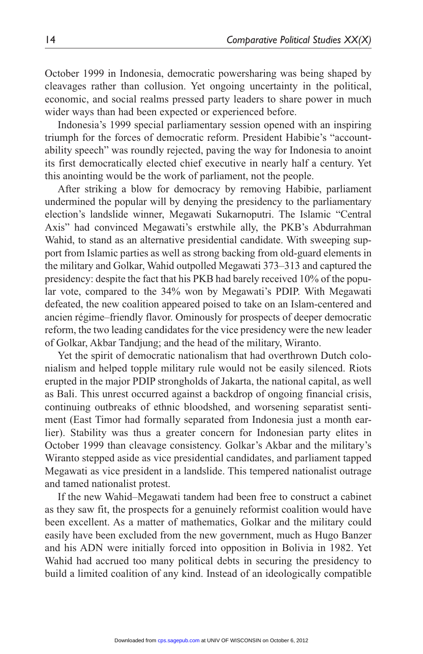October 1999 in Indonesia, democratic powersharing was being shaped by cleavages rather than collusion. Yet ongoing uncertainty in the political, economic, and social realms pressed party leaders to share power in much wider ways than had been expected or experienced before.

Indonesia's 1999 special parliamentary session opened with an inspiring triumph for the forces of democratic reform. President Habibie's "accountability speech" was roundly rejected, paving the way for Indonesia to anoint its first democratically elected chief executive in nearly half a century. Yet this anointing would be the work of parliament, not the people.

After striking a blow for democracy by removing Habibie, parliament undermined the popular will by denying the presidency to the parliamentary election's landslide winner, Megawati Sukarnoputri. The Islamic "Central Axis" had convinced Megawati's erstwhile ally, the PKB's Abdurrahman Wahid, to stand as an alternative presidential candidate. With sweeping support from Islamic parties as well as strong backing from old-guard elements in the military and Golkar, Wahid outpolled Megawati 373–313 and captured the presidency: despite the fact that his PKB had barely received 10% of the popular vote, compared to the 34% won by Megawati's PDIP. With Megawati defeated, the new coalition appeared poised to take on an Islam-centered and ancien régime–friendly flavor. Ominously for prospects of deeper democratic reform, the two leading candidates for the vice presidency were the new leader of Golkar, Akbar Tandjung; and the head of the military, Wiranto.

Yet the spirit of democratic nationalism that had overthrown Dutch colonialism and helped topple military rule would not be easily silenced. Riots erupted in the major PDIP strongholds of Jakarta, the national capital, as well as Bali. This unrest occurred against a backdrop of ongoing financial crisis, continuing outbreaks of ethnic bloodshed, and worsening separatist sentiment (East Timor had formally separated from Indonesia just a month earlier). Stability was thus a greater concern for Indonesian party elites in October 1999 than cleavage consistency. Golkar's Akbar and the military's Wiranto stepped aside as vice presidential candidates, and parliament tapped Megawati as vice president in a landslide. This tempered nationalist outrage and tamed nationalist protest.

If the new Wahid–Megawati tandem had been free to construct a cabinet as they saw fit, the prospects for a genuinely reformist coalition would have been excellent. As a matter of mathematics, Golkar and the military could easily have been excluded from the new government, much as Hugo Banzer and his ADN were initially forced into opposition in Bolivia in 1982. Yet Wahid had accrued too many political debts in securing the presidency to build a limited coalition of any kind. Instead of an ideologically compatible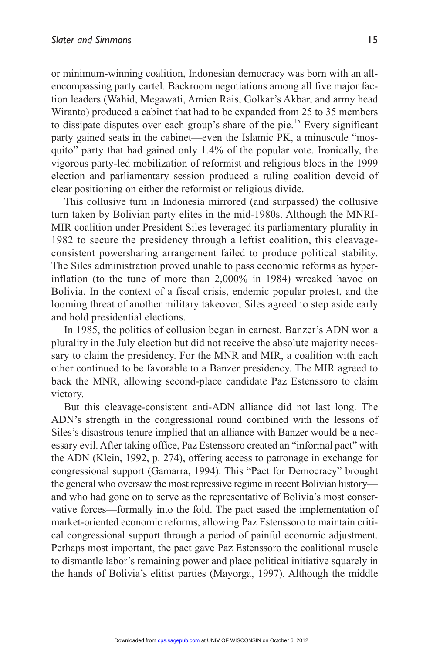or minimum-winning coalition, Indonesian democracy was born with an allencompassing party cartel. Backroom negotiations among all five major faction leaders (Wahid, Megawati, Amien Rais, Golkar's Akbar, and army head Wiranto) produced a cabinet that had to be expanded from 25 to 35 members to dissipate disputes over each group's share of the pie.<sup>15</sup> Every significant party gained seats in the cabinet—even the Islamic PK, a minuscule "mosquito" party that had gained only 1.4% of the popular vote. Ironically, the vigorous party-led mobilization of reformist and religious blocs in the 1999 election and parliamentary session produced a ruling coalition devoid of clear positioning on either the reformist or religious divide.

This collusive turn in Indonesia mirrored (and surpassed) the collusive turn taken by Bolivian party elites in the mid-1980s. Although the MNRI-MIR coalition under President Siles leveraged its parliamentary plurality in 1982 to secure the presidency through a leftist coalition, this cleavageconsistent powersharing arrangement failed to produce political stability. The Siles administration proved unable to pass economic reforms as hyperinflation (to the tune of more than 2,000% in 1984) wreaked havoc on Bolivia. In the context of a fiscal crisis, endemic popular protest, and the looming threat of another military takeover, Siles agreed to step aside early and hold presidential elections.

In 1985, the politics of collusion began in earnest. Banzer's ADN won a plurality in the July election but did not receive the absolute majority necessary to claim the presidency. For the MNR and MIR, a coalition with each other continued to be favorable to a Banzer presidency. The MIR agreed to back the MNR, allowing second-place candidate Paz Estenssoro to claim victory.

But this cleavage-consistent anti-ADN alliance did not last long. The ADN's strength in the congressional round combined with the lessons of Siles's disastrous tenure implied that an alliance with Banzer would be a necessary evil. After taking office, Paz Estenssoro created an "informal pact" with the ADN (Klein, 1992, p. 274), offering access to patronage in exchange for congressional support (Gamarra, 1994). This "Pact for Democracy" brought the general who oversaw the most repressive regime in recent Bolivian history and who had gone on to serve as the representative of Bolivia's most conservative forces—formally into the fold. The pact eased the implementation of market-oriented economic reforms, allowing Paz Estenssoro to maintain critical congressional support through a period of painful economic adjustment. Perhaps most important, the pact gave Paz Estenssoro the coalitional muscle to dismantle labor's remaining power and place political initiative squarely in the hands of Bolivia's elitist parties (Mayorga, 1997). Although the middle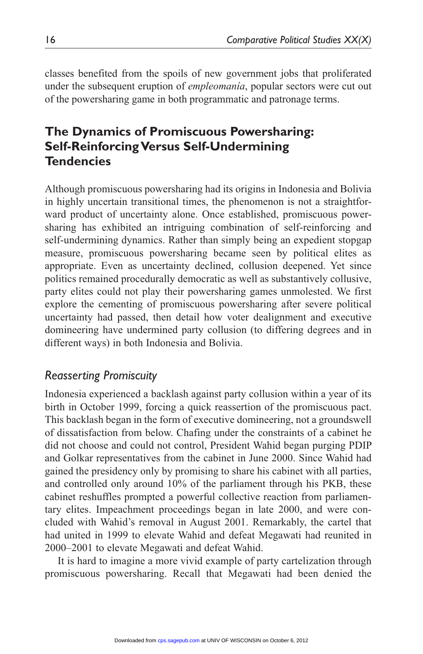classes benefited from the spoils of new government jobs that proliferated under the subsequent eruption of *empleomanía*, popular sectors were cut out of the powersharing game in both programmatic and patronage terms.

# **The Dynamics of Promiscuous Powersharing: Self-Reinforcing Versus Self-Undermining Tendencies**

Although promiscuous powersharing had its origins in Indonesia and Bolivia in highly uncertain transitional times, the phenomenon is not a straightforward product of uncertainty alone. Once established, promiscuous powersharing has exhibited an intriguing combination of self-reinforcing and self-undermining dynamics. Rather than simply being an expedient stopgap measure, promiscuous powersharing became seen by political elites as appropriate. Even as uncertainty declined, collusion deepened. Yet since politics remained procedurally democratic as well as substantively collusive, party elites could not play their powersharing games unmolested. We first explore the cementing of promiscuous powersharing after severe political uncertainty had passed, then detail how voter dealignment and executive domineering have undermined party collusion (to differing degrees and in different ways) in both Indonesia and Bolivia.

### *Reasserting Promiscuity*

Indonesia experienced a backlash against party collusion within a year of its birth in October 1999, forcing a quick reassertion of the promiscuous pact. This backlash began in the form of executive domineering, not a groundswell of dissatisfaction from below. Chafing under the constraints of a cabinet he did not choose and could not control, President Wahid began purging PDIP and Golkar representatives from the cabinet in June 2000. Since Wahid had gained the presidency only by promising to share his cabinet with all parties, and controlled only around 10% of the parliament through his PKB, these cabinet reshuffles prompted a powerful collective reaction from parliamentary elites. Impeachment proceedings began in late 2000, and were concluded with Wahid's removal in August 2001. Remarkably, the cartel that had united in 1999 to elevate Wahid and defeat Megawati had reunited in 2000–2001 to elevate Megawati and defeat Wahid.

It is hard to imagine a more vivid example of party cartelization through promiscuous powersharing. Recall that Megawati had been denied the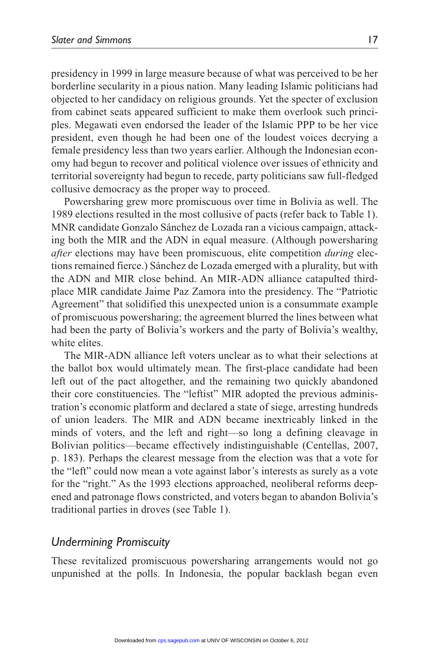presidency in 1999 in large measure because of what was perceived to be her borderline secularity in a pious nation. Many leading Islamic politicians had objected to her candidacy on religious grounds. Yet the specter of exclusion from cabinet seats appeared sufficient to make them overlook such principles. Megawati even endorsed the leader of the Islamic PPP to be her vice president, even though he had been one of the loudest voices decrying a female presidency less than two years earlier. Although the Indonesian economy had begun to recover and political violence over issues of ethnicity and territorial sovereignty had begun to recede, party politicians saw full-fledged collusive democracy as the proper way to proceed.

Powersharing grew more promiscuous over time in Bolivia as well. The 1989 elections resulted in the most collusive of pacts (refer back to Table 1). MNR candidate Gonzalo Sánchez de Lozada ran a vicious campaign, attacking both the MIR and the ADN in equal measure. (Although powersharing *after* elections may have been promiscuous, elite competition *during* elections remained fierce.) Sánchez de Lozada emerged with a plurality, but with the ADN and MIR close behind. An MIR-ADN alliance catapulted thirdplace MIR candidate Jaime Paz Zamora into the presidency. The "Patriotic Agreement" that solidified this unexpected union is a consummate example of promiscuous powersharing; the agreement blurred the lines between what had been the party of Bolivia's workers and the party of Bolivia's wealthy, white elites.

The MIR-ADN alliance left voters unclear as to what their selections at the ballot box would ultimately mean. The first-place candidate had been left out of the pact altogether, and the remaining two quickly abandoned their core constituencies. The "leftist" MIR adopted the previous administration's economic platform and declared a state of siege, arresting hundreds of union leaders. The MIR and ADN became inextricably linked in the minds of voters, and the left and right—so long a defining cleavage in Bolivian politics—became effectively indistinguishable (Centellas, 2007, p. 183). Perhaps the clearest message from the election was that a vote for the "left" could now mean a vote against labor's interests as surely as a vote for the "right." As the 1993 elections approached, neoliberal reforms deepened and patronage flows constricted, and voters began to abandon Bolivia's traditional parties in droves (see Table 1).

### *Undermining Promiscuity*

These revitalized promiscuous powersharing arrangements would not go unpunished at the polls. In Indonesia, the popular backlash began even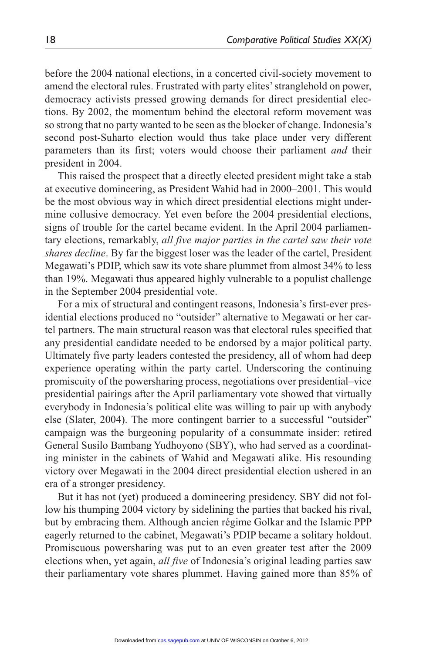before the 2004 national elections, in a concerted civil-society movement to amend the electoral rules. Frustrated with party elites' stranglehold on power, democracy activists pressed growing demands for direct presidential elections. By 2002, the momentum behind the electoral reform movement was so strong that no party wanted to be seen as the blocker of change. Indonesia's second post-Suharto election would thus take place under very different parameters than its first; voters would choose their parliament *and* their president in 2004.

This raised the prospect that a directly elected president might take a stab at executive domineering, as President Wahid had in 2000–2001. This would be the most obvious way in which direct presidential elections might undermine collusive democracy. Yet even before the 2004 presidential elections, signs of trouble for the cartel became evident. In the April 2004 parliamentary elections, remarkably, *all five major parties in the cartel saw their vote shares decline*. By far the biggest loser was the leader of the cartel, President Megawati's PDIP, which saw its vote share plummet from almost 34% to less than 19%. Megawati thus appeared highly vulnerable to a populist challenge in the September 2004 presidential vote.

For a mix of structural and contingent reasons, Indonesia's first-ever presidential elections produced no "outsider" alternative to Megawati or her cartel partners. The main structural reason was that electoral rules specified that any presidential candidate needed to be endorsed by a major political party. Ultimately five party leaders contested the presidency, all of whom had deep experience operating within the party cartel. Underscoring the continuing promiscuity of the powersharing process, negotiations over presidential–vice presidential pairings after the April parliamentary vote showed that virtually everybody in Indonesia's political elite was willing to pair up with anybody else (Slater, 2004). The more contingent barrier to a successful "outsider" campaign was the burgeoning popularity of a consummate insider: retired General Susilo Bambang Yudhoyono (SBY), who had served as a coordinating minister in the cabinets of Wahid and Megawati alike. His resounding victory over Megawati in the 2004 direct presidential election ushered in an era of a stronger presidency.

But it has not (yet) produced a domineering presidency. SBY did not follow his thumping 2004 victory by sidelining the parties that backed his rival, but by embracing them. Although ancien régime Golkar and the Islamic PPP eagerly returned to the cabinet, Megawati's PDIP became a solitary holdout. Promiscuous powersharing was put to an even greater test after the 2009 elections when, yet again, *all five* of Indonesia's original leading parties saw their parliamentary vote shares plummet. Having gained more than 85% of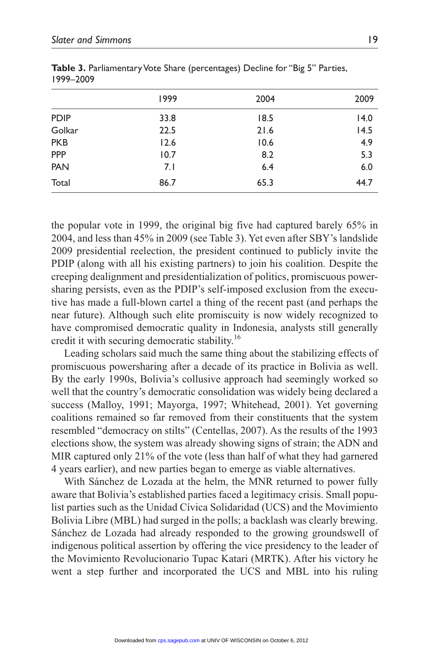|             | 1999 | 2004 | 2009 |
|-------------|------|------|------|
| <b>PDIP</b> | 33.8 | 18.5 | 14.0 |
| Golkar      | 22.5 | 21.6 | 14.5 |
| <b>PKB</b>  | 12.6 | 10.6 | 4.9  |
| <b>PPP</b>  | 10.7 | 8.2  | 5.3  |
| <b>PAN</b>  | 7.1  | 6.4  | 6.0  |
| Total       | 86.7 | 65.3 | 44.7 |

**Table 3.** Parliamentary Vote Share (percentages) Decline for "Big 5" Parties, 1999–2009

the popular vote in 1999, the original big five had captured barely 65% in 2004, and less than 45% in 2009 (see Table 3). Yet even after SBY's landslide 2009 presidential reelection, the president continued to publicly invite the PDIP (along with all his existing partners) to join his coalition. Despite the creeping dealignment and presidentialization of politics, promiscuous powersharing persists, even as the PDIP's self-imposed exclusion from the executive has made a full-blown cartel a thing of the recent past (and perhaps the near future). Although such elite promiscuity is now widely recognized to have compromised democratic quality in Indonesia, analysts still generally credit it with securing democratic stability.16

Leading scholars said much the same thing about the stabilizing effects of promiscuous powersharing after a decade of its practice in Bolivia as well. By the early 1990s, Bolivia's collusive approach had seemingly worked so well that the country's democratic consolidation was widely being declared a success (Malloy, 1991; Mayorga, 1997; Whitehead, 2001). Yet governing coalitions remained so far removed from their constituents that the system resembled "democracy on stilts" (Centellas, 2007). As the results of the 1993 elections show, the system was already showing signs of strain; the ADN and MIR captured only 21% of the vote (less than half of what they had garnered 4 years earlier), and new parties began to emerge as viable alternatives.

With Sánchez de Lozada at the helm, the MNR returned to power fully aware that Bolivia's established parties faced a legitimacy crisis. Small populist parties such as the Unidad Cívica Solidaridad (UCS) and the Movimiento Bolivia Libre (MBL) had surged in the polls; a backlash was clearly brewing. Sánchez de Lozada had already responded to the growing groundswell of indigenous political assertion by offering the vice presidency to the leader of the Movimiento Revolucionario Tupac Katari (MRTK). After his victory he went a step further and incorporated the UCS and MBL into his ruling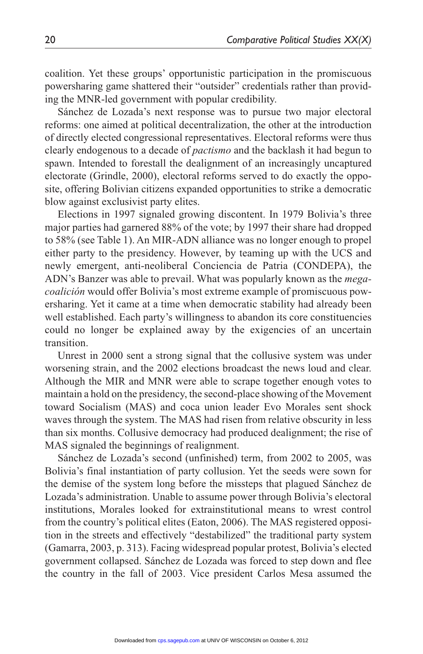coalition. Yet these groups' opportunistic participation in the promiscuous powersharing game shattered their "outsider" credentials rather than providing the MNR-led government with popular credibility.

Sánchez de Lozada's next response was to pursue two major electoral reforms: one aimed at political decentralization, the other at the introduction of directly elected congressional representatives. Electoral reforms were thus clearly endogenous to a decade of *pactismo* and the backlash it had begun to spawn. Intended to forestall the dealignment of an increasingly uncaptured electorate (Grindle, 2000), electoral reforms served to do exactly the opposite, offering Bolivian citizens expanded opportunities to strike a democratic blow against exclusivist party elites.

Elections in 1997 signaled growing discontent. In 1979 Bolivia's three major parties had garnered 88% of the vote; by 1997 their share had dropped to 58% (see Table 1). An MIR-ADN alliance was no longer enough to propel either party to the presidency. However, by teaming up with the UCS and newly emergent, anti-neoliberal Conciencia de Patria (CONDEPA), the ADN's Banzer was able to prevail. What was popularly known as the *megacoalición* would offer Bolivia's most extreme example of promiscuous powersharing. Yet it came at a time when democratic stability had already been well established. Each party's willingness to abandon its core constituencies could no longer be explained away by the exigencies of an uncertain transition.

Unrest in 2000 sent a strong signal that the collusive system was under worsening strain, and the 2002 elections broadcast the news loud and clear. Although the MIR and MNR were able to scrape together enough votes to maintain a hold on the presidency, the second-place showing of the Movement toward Socialism (MAS) and coca union leader Evo Morales sent shock waves through the system. The MAS had risen from relative obscurity in less than six months. Collusive democracy had produced dealignment; the rise of MAS signaled the beginnings of realignment.

Sánchez de Lozada's second (unfinished) term, from 2002 to 2005, was Bolivia's final instantiation of party collusion. Yet the seeds were sown for the demise of the system long before the missteps that plagued Sánchez de Lozada's administration. Unable to assume power through Bolivia's electoral institutions, Morales looked for extrainstitutional means to wrest control from the country's political elites (Eaton, 2006). The MAS registered opposition in the streets and effectively "destabilized" the traditional party system (Gamarra, 2003, p. 313). Facing widespread popular protest, Bolivia's elected government collapsed. Sánchez de Lozada was forced to step down and flee the country in the fall of 2003. Vice president Carlos Mesa assumed the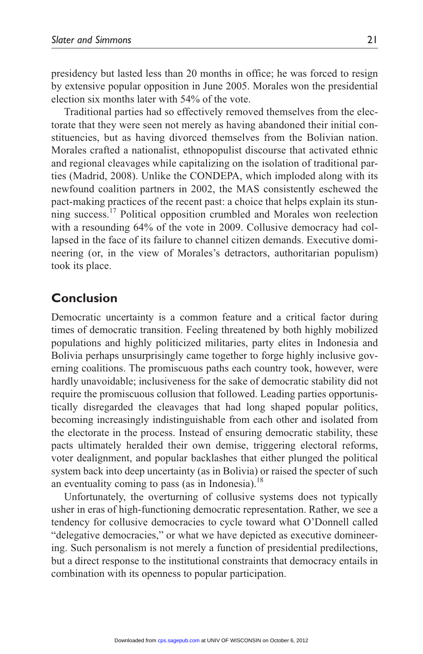presidency but lasted less than 20 months in office; he was forced to resign by extensive popular opposition in June 2005. Morales won the presidential election six months later with 54% of the vote.

Traditional parties had so effectively removed themselves from the electorate that they were seen not merely as having abandoned their initial constituencies, but as having divorced themselves from the Bolivian nation. Morales crafted a nationalist, ethnopopulist discourse that activated ethnic and regional cleavages while capitalizing on the isolation of traditional parties (Madrid, 2008). Unlike the CONDEPA, which imploded along with its newfound coalition partners in 2002, the MAS consistently eschewed the pact-making practices of the recent past: a choice that helps explain its stunning success.<sup>17</sup> Political opposition crumbled and Morales won reelection with a resounding 64% of the vote in 2009. Collusive democracy had collapsed in the face of its failure to channel citizen demands. Executive domineering (or, in the view of Morales's detractors, authoritarian populism) took its place.

### **Conclusion**

Democratic uncertainty is a common feature and a critical factor during times of democratic transition. Feeling threatened by both highly mobilized populations and highly politicized militaries, party elites in Indonesia and Bolivia perhaps unsurprisingly came together to forge highly inclusive governing coalitions. The promiscuous paths each country took, however, were hardly unavoidable; inclusiveness for the sake of democratic stability did not require the promiscuous collusion that followed. Leading parties opportunistically disregarded the cleavages that had long shaped popular politics, becoming increasingly indistinguishable from each other and isolated from the electorate in the process. Instead of ensuring democratic stability, these pacts ultimately heralded their own demise, triggering electoral reforms, voter dealignment, and popular backlashes that either plunged the political system back into deep uncertainty (as in Bolivia) or raised the specter of such an eventuality coming to pass (as in Indonesia).<sup>18</sup>

Unfortunately, the overturning of collusive systems does not typically usher in eras of high-functioning democratic representation. Rather, we see a tendency for collusive democracies to cycle toward what O'Donnell called "delegative democracies," or what we have depicted as executive domineering. Such personalism is not merely a function of presidential predilections, but a direct response to the institutional constraints that democracy entails in combination with its openness to popular participation.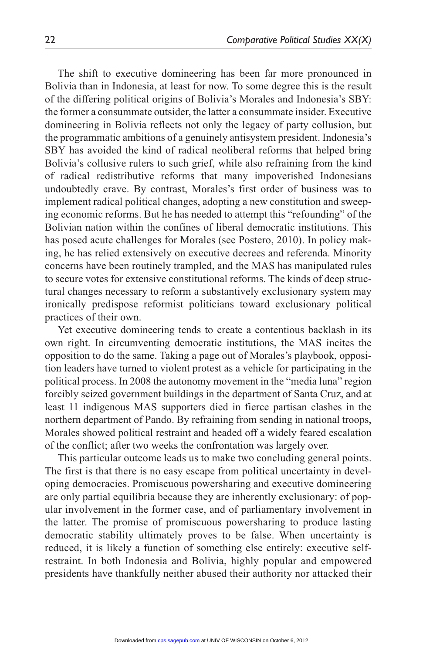The shift to executive domineering has been far more pronounced in Bolivia than in Indonesia, at least for now. To some degree this is the result of the differing political origins of Bolivia's Morales and Indonesia's SBY: the former a consummate outsider, the latter a consummate insider. Executive domineering in Bolivia reflects not only the legacy of party collusion, but the programmatic ambitions of a genuinely antisystem president. Indonesia's SBY has avoided the kind of radical neoliberal reforms that helped bring Bolivia's collusive rulers to such grief, while also refraining from the kind of radical redistributive reforms that many impoverished Indonesians undoubtedly crave. By contrast, Morales's first order of business was to implement radical political changes, adopting a new constitution and sweeping economic reforms. But he has needed to attempt this "refounding" of the Bolivian nation within the confines of liberal democratic institutions. This has posed acute challenges for Morales (see Postero, 2010). In policy making, he has relied extensively on executive decrees and referenda. Minority concerns have been routinely trampled, and the MAS has manipulated rules to secure votes for extensive constitutional reforms. The kinds of deep structural changes necessary to reform a substantively exclusionary system may ironically predispose reformist politicians toward exclusionary political practices of their own.

Yet executive domineering tends to create a contentious backlash in its own right. In circumventing democratic institutions, the MAS incites the opposition to do the same. Taking a page out of Morales's playbook, opposition leaders have turned to violent protest as a vehicle for participating in the political process. In 2008 the autonomy movement in the "media luna" region forcibly seized government buildings in the department of Santa Cruz, and at least 11 indigenous MAS supporters died in fierce partisan clashes in the northern department of Pando. By refraining from sending in national troops, Morales showed political restraint and headed off a widely feared escalation of the conflict; after two weeks the confrontation was largely over.

This particular outcome leads us to make two concluding general points. The first is that there is no easy escape from political uncertainty in developing democracies. Promiscuous powersharing and executive domineering are only partial equilibria because they are inherently exclusionary: of popular involvement in the former case, and of parliamentary involvement in the latter. The promise of promiscuous powersharing to produce lasting democratic stability ultimately proves to be false. When uncertainty is reduced, it is likely a function of something else entirely: executive selfrestraint. In both Indonesia and Bolivia, highly popular and empowered presidents have thankfully neither abused their authority nor attacked their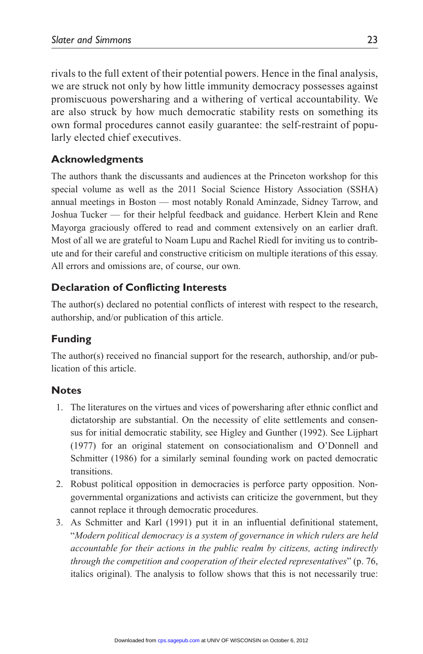rivals to the full extent of their potential powers. Hence in the final analysis, we are struck not only by how little immunity democracy possesses against promiscuous powersharing and a withering of vertical accountability. We are also struck by how much democratic stability rests on something its own formal procedures cannot easily guarantee: the self-restraint of popularly elected chief executives.

### **Acknowledgments**

The authors thank the discussants and audiences at the Princeton workshop for this special volume as well as the 2011 Social Science History Association (SSHA) annual meetings in Boston — most notably Ronald Aminzade, Sidney Tarrow, and Joshua Tucker — for their helpful feedback and guidance. Herbert Klein and Rene Mayorga graciously offered to read and comment extensively on an earlier draft. Most of all we are grateful to Noam Lupu and Rachel Riedl for inviting us to contribute and for their careful and constructive criticism on multiple iterations of this essay. All errors and omissions are, of course, our own.

### **Declaration of Conflicting Interests**

The author(s) declared no potential conflicts of interest with respect to the research, authorship, and/or publication of this article.

#### **Funding**

The author(s) received no financial support for the research, authorship, and/or publication of this article.

#### **Notes**

- 1. The literatures on the virtues and vices of powersharing after ethnic conflict and dictatorship are substantial. On the necessity of elite settlements and consensus for initial democratic stability, see Higley and Gunther (1992). See Lijphart (1977) for an original statement on consociationalism and O'Donnell and Schmitter (1986) for a similarly seminal founding work on pacted democratic transitions.
- 2. Robust political opposition in democracies is perforce party opposition. Nongovernmental organizations and activists can criticize the government, but they cannot replace it through democratic procedures.
- 3. As Schmitter and Karl (1991) put it in an influential definitional statement, "*Modern political democracy is a system of governance in which rulers are held accountable for their actions in the public realm by citizens, acting indirectly through the competition and cooperation of their elected representatives*" (p. 76, italics original). The analysis to follow shows that this is not necessarily true: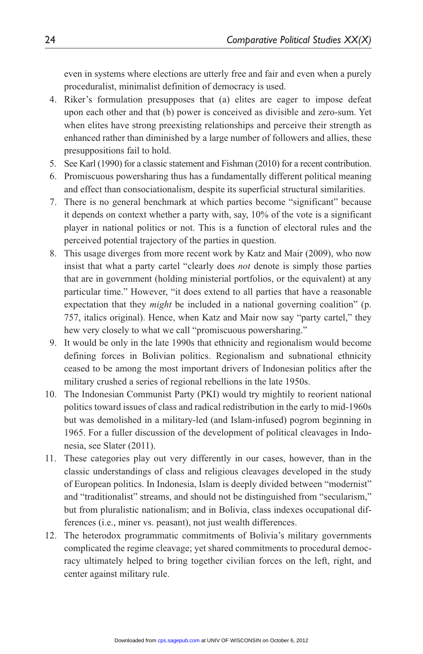even in systems where elections are utterly free and fair and even when a purely proceduralist, minimalist definition of democracy is used.

- 4. Riker's formulation presupposes that (a) elites are eager to impose defeat upon each other and that (b) power is conceived as divisible and zero-sum. Yet when elites have strong preexisting relationships and perceive their strength as enhanced rather than diminished by a large number of followers and allies, these presuppositions fail to hold.
- 5. See Karl (1990) for a classic statement and Fishman (2010) for a recent contribution.
- 6. Promiscuous powersharing thus has a fundamentally different political meaning and effect than consociationalism, despite its superficial structural similarities.
- 7. There is no general benchmark at which parties become "significant" because it depends on context whether a party with, say, 10% of the vote is a significant player in national politics or not. This is a function of electoral rules and the perceived potential trajectory of the parties in question.
- 8. This usage diverges from more recent work by Katz and Mair (2009), who now insist that what a party cartel "clearly does *not* denote is simply those parties that are in government (holding ministerial portfolios, or the equivalent) at any particular time." However, "it does extend to all parties that have a reasonable expectation that they *might* be included in a national governing coalition" (p. 757, italics original). Hence, when Katz and Mair now say "party cartel," they hew very closely to what we call "promiscuous powersharing."
- 9. It would be only in the late 1990s that ethnicity and regionalism would become defining forces in Bolivian politics. Regionalism and subnational ethnicity ceased to be among the most important drivers of Indonesian politics after the military crushed a series of regional rebellions in the late 1950s.
- 10. The Indonesian Communist Party (PKI) would try mightily to reorient national politics toward issues of class and radical redistribution in the early to mid-1960s but was demolished in a military-led (and Islam-infused) pogrom beginning in 1965. For a fuller discussion of the development of political cleavages in Indonesia, see Slater (2011).
- 11. These categories play out very differently in our cases, however, than in the classic understandings of class and religious cleavages developed in the study of European politics. In Indonesia, Islam is deeply divided between "modernist" and "traditionalist" streams, and should not be distinguished from "secularism," but from pluralistic nationalism; and in Bolivia, class indexes occupational differences (i.e., miner vs. peasant), not just wealth differences.
- 12. The heterodox programmatic commitments of Bolivia's military governments complicated the regime cleavage; yet shared commitments to procedural democracy ultimately helped to bring together civilian forces on the left, right, and center against military rule.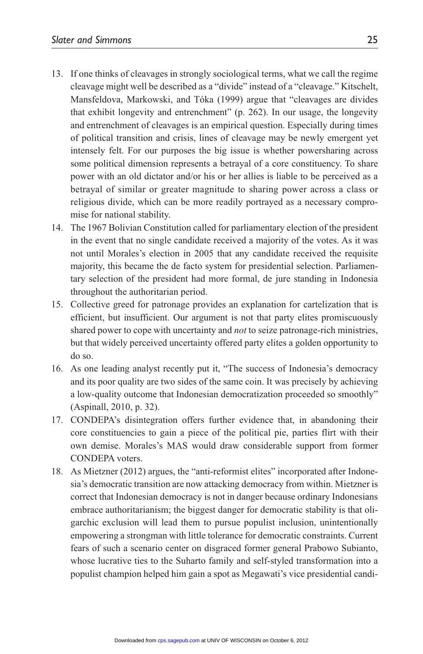- 13. If one thinks of cleavages in strongly sociological terms, what we call the regime cleavage might well be described as a "divide" instead of a "cleavage." Kitschelt, Mansfeldova, Markowski, and Tóka (1999) argue that "cleavages are divides that exhibit longevity and entrenchment" (p. 262). In our usage, the longevity and entrenchment of cleavages is an empirical question. Especially during times of political transition and crisis, lines of cleavage may be newly emergent yet intensely felt. For our purposes the big issue is whether powersharing across some political dimension represents a betrayal of a core constituency. To share power with an old dictator and/or his or her allies is liable to be perceived as a betrayal of similar or greater magnitude to sharing power across a class or religious divide, which can be more readily portrayed as a necessary compromise for national stability.
- 14. The 1967 Bolivian Constitution called for parliamentary election of the president in the event that no single candidate received a majority of the votes. As it was not until Morales's election in 2005 that any candidate received the requisite majority, this became the de facto system for presidential selection. Parliamentary selection of the president had more formal, de jure standing in Indonesia throughout the authoritarian period.
- 15. Collective greed for patronage provides an explanation for cartelization that is efficient, but insufficient. Our argument is not that party elites promiscuously shared power to cope with uncertainty and *not* to seize patronage-rich ministries, but that widely perceived uncertainty offered party elites a golden opportunity to do so.
- 16. As one leading analyst recently put it, "The success of Indonesia's democracy and its poor quality are two sides of the same coin. It was precisely by achieving a low-quality outcome that Indonesian democratization proceeded so smoothly" (Aspinall, 2010, p. 32).
- 17. CONDEPA's disintegration offers further evidence that, in abandoning their core constituencies to gain a piece of the political pie, parties flirt with their own demise. Morales's MAS would draw considerable support from former CONDEPA voters.
- 18. As Mietzner (2012) argues, the "anti-reformist elites" incorporated after Indonesia's democratic transition are now attacking democracy from within. Mietzner is correct that Indonesian democracy is not in danger because ordinary Indonesians embrace authoritarianism; the biggest danger for democratic stability is that oligarchic exclusion will lead them to pursue populist inclusion, unintentionally empowering a strongman with little tolerance for democratic constraints. Current fears of such a scenario center on disgraced former general Prabowo Subianto, whose lucrative ties to the Suharto family and self-styled transformation into a populist champion helped him gain a spot as Megawati's vice presidential candi-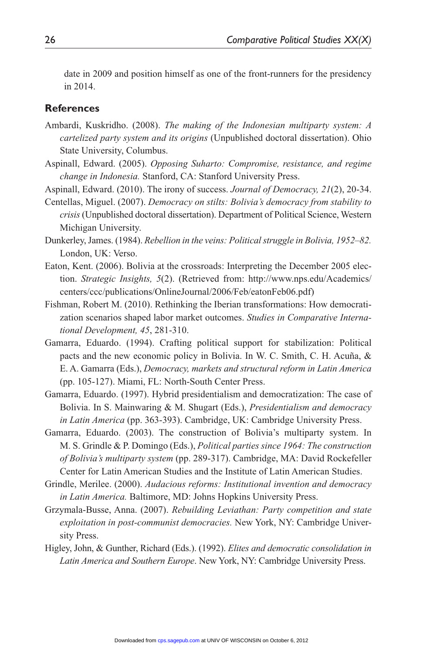date in 2009 and position himself as one of the front-runners for the presidency in 2014.

#### **References**

- Ambardi, Kuskridho. (2008). *The making of the Indonesian multiparty system: A cartelized party system and its origins* (Unpublished doctoral dissertation). Ohio State University, Columbus.
- Aspinall, Edward. (2005). *Opposing Suharto: Compromise, resistance, and regime change in Indonesia.* Stanford, CA: Stanford University Press.
- Aspinall, Edward. (2010). The irony of success. *Journal of Democracy, 21*(2), 20-34.
- Centellas, Miguel. (2007). *Democracy on stilts: Bolivia's democracy from stability to crisis* (Unpublished doctoral dissertation). Department of Political Science, Western Michigan University.
- Dunkerley, James. (1984). *Rebellion in the veins: Political struggle in Bolivia, 1952–82.* London, UK: Verso.
- Eaton, Kent. (2006). Bolivia at the crossroads: Interpreting the December 2005 election. *Strategic Insights, 5*(2). (Retrieved from: http://www.nps.edu/Academics/ centers/ccc/publications/OnlineJournal/2006/Feb/eatonFeb06.pdf)
- Fishman, Robert M. (2010). Rethinking the Iberian transformations: How democratization scenarios shaped labor market outcomes. *Studies in Comparative International Development, 45*, 281-310.
- Gamarra, Eduardo. (1994). Crafting political support for stabilization: Political pacts and the new economic policy in Bolivia. In W. C. Smith, C. H. Acuña, & E. A. Gamarra (Eds.), *Democracy, markets and structural reform in Latin America* (pp. 105-127). Miami, FL: North-South Center Press.
- Gamarra, Eduardo. (1997). Hybrid presidentialism and democratization: The case of Bolivia. In S. Mainwaring & M. Shugart (Eds.), *Presidentialism and democracy in Latin America* (pp. 363-393). Cambridge, UK: Cambridge University Press.
- Gamarra, Eduardo. (2003). The construction of Bolivia's multiparty system. In M. S. Grindle & P. Domingo (Eds.), *Political parties since 1964: The construction of Bolivia's multiparty system* (pp. 289-317). Cambridge, MA: David Rockefeller Center for Latin American Studies and the Institute of Latin American Studies.
- Grindle, Merilee. (2000). *Audacious reforms: Institutional invention and democracy in Latin America.* Baltimore, MD: Johns Hopkins University Press.
- Grzymala-Busse, Anna. (2007). *Rebuilding Leviathan: Party competition and state exploitation in post-communist democracies.* New York, NY: Cambridge University Press.
- Higley, John, & Gunther, Richard (Eds.). (1992). *Elites and democratic consolidation in Latin America and Southern Europe*. New York, NY: Cambridge University Press.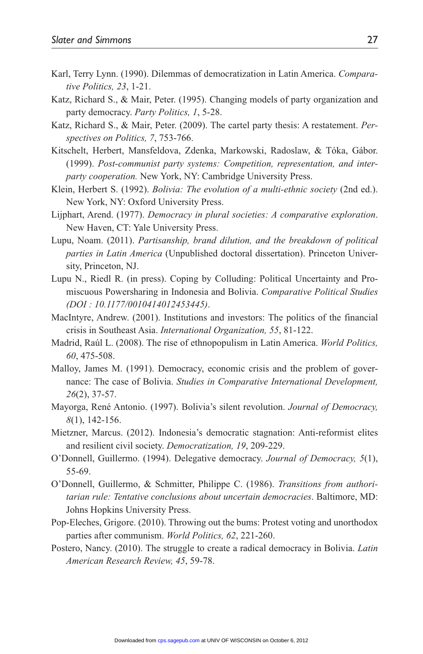- Karl, Terry Lynn. (1990). Dilemmas of democratization in Latin America. *Comparative Politics, 23*, 1-21.
- Katz, Richard S., & Mair, Peter. (1995). Changing models of party organization and party democracy. *Party Politics, 1*, 5-28.
- Katz, Richard S., & Mair, Peter. (2009). The cartel party thesis: A restatement. *Perspectives on Politics, 7*, 753-766.
- Kitschelt, Herbert, Mansfeldova, Zdenka, Markowski, Radoslaw, & Tóka, Gábor. (1999). *Post-communist party systems: Competition, representation, and interparty cooperation.* New York, NY: Cambridge University Press.
- Klein, Herbert S. (1992). *Bolivia: The evolution of a multi-ethnic society* (2nd ed.). New York, NY: Oxford University Press.
- Lijphart, Arend. (1977). *Democracy in plural societies: A comparative exploration*. New Haven, CT: Yale University Press.
- Lupu, Noam. (2011). *Partisanship, brand dilution, and the breakdown of political parties in Latin America* (Unpublished doctoral dissertation). Princeton University, Princeton, NJ.
- Lupu N., Riedl R. (in press). Coping by Colluding: Political Uncertainty and Promiscuous Powersharing in Indonesia and Bolivia. *Comparative Political Studies (DOI : 10.1177/0010414012453445)*.
- MacIntyre, Andrew. (2001). Institutions and investors: The politics of the financial crisis in Southeast Asia. *International Organization, 55*, 81-122.
- Madrid, Raúl L. (2008). The rise of ethnopopulism in Latin America. *World Politics, 60*, 475-508.
- Malloy, James M. (1991). Democracy, economic crisis and the problem of governance: The case of Bolivia. *Studies in Comparative International Development, 26*(2), 37-57.
- Mayorga, René Antonio. (1997). Bolivia's silent revolution. *Journal of Democracy, 8*(1), 142-156.
- Mietzner, Marcus. (2012). Indonesia's democratic stagnation: Anti-reformist elites and resilient civil society. *Democratization, 19*, 209-229.
- O'Donnell, Guillermo. (1994). Delegative democracy. *Journal of Democracy, 5*(1), 55-69.
- O'Donnell, Guillermo, & Schmitter, Philippe C. (1986). *Transitions from authoritarian rule: Tentative conclusions about uncertain democracies*. Baltimore, MD: Johns Hopkins University Press.
- Pop-Eleches, Grigore. (2010). Throwing out the bums: Protest voting and unorthodox parties after communism. *World Politics, 62*, 221-260.
- Postero, Nancy. (2010). The struggle to create a radical democracy in Bolivia. *Latin American Research Review, 45*, 59-78.